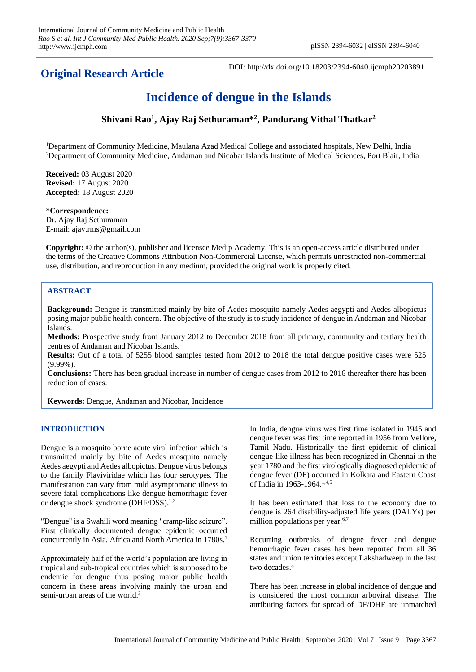## **Original Research Article**

DOI: http://dx.doi.org/10.18203/2394-6040.ijcmph20203891

# **Incidence of dengue in the Islands**

**Shivani Rao<sup>1</sup> , Ajay Raj Sethuraman\*<sup>2</sup> , Pandurang Vithal Thatkar<sup>2</sup>**

<sup>1</sup>Department of Community Medicine, Maulana Azad Medical College and associated hospitals, New Delhi, India <sup>2</sup>Department of Community Medicine, Andaman and Nicobar Islands Institute of Medical Sciences, Port Blair, India

**Received:** 03 August 2020 **Revised:** 17 August 2020 **Accepted:** 18 August 2020

## **\*Correspondence:**

Dr. Ajay Raj Sethuraman E-mail: ajay.rms@gmail.com

**Copyright:** © the author(s), publisher and licensee Medip Academy. This is an open-access article distributed under the terms of the Creative Commons Attribution Non-Commercial License, which permits unrestricted non-commercial use, distribution, and reproduction in any medium, provided the original work is properly cited.

## **ABSTRACT**

**Background:** Dengue is transmitted mainly by bite of Aedes mosquito namely Aedes aegypti and Aedes albopictus posing major public health concern. The objective of the study is to study incidence of dengue in Andaman and Nicobar Islands.

**Methods:** Prospective study from January 2012 to December 2018 from all primary, community and tertiary health centres of Andaman and Nicobar Islands.

**Results:** Out of a total of 5255 blood samples tested from 2012 to 2018 the total dengue positive cases were 525 (9.99%).

**Conclusions:** There has been gradual increase in number of dengue cases from 2012 to 2016 thereafter there has been reduction of cases.

**Keywords:** Dengue, Andaman and Nicobar, Incidence

## **INTRODUCTION**

Dengue is a mosquito borne acute viral infection which is transmitted mainly by bite of Aedes mosquito namely Aedes aegypti and Aedes albopictus. Dengue virus belongs to the family Flaviviridae which has four serotypes. The manifestation can vary from mild asymptomatic illness to severe fatal complications like dengue hemorrhagic fever or dengue shock syndrome (DHF/DSS).<sup>1,2</sup>

"Dengue" is a Swahili word meaning "cramp-like seizure". First clinically documented dengue epidemic occurred concurrently in Asia, Africa and North America in 1780s.<sup>1</sup>

Approximately half of the world's population are living in tropical and sub-tropical countries which is supposed to be endemic for dengue thus posing major public health concern in these areas involving mainly the urban and semi-urban areas of the world.<sup>3</sup>

In India, dengue virus was first time isolated in 1945 and dengue fever was first time reported in 1956 from Vellore, Tamil Nadu. Historically the first epidemic of clinical dengue-like illness has been recognized in Chennai in the year 1780 and the first virologically diagnosed epidemic of dengue fever (DF) occurred in Kolkata and Eastern Coast of India in 1963-1964.<sup>1,4,5</sup>

It has been estimated that loss to the economy due to dengue is 264 disability-adjusted life years (DALYs) per million populations per year.<sup>6,7</sup>

Recurring outbreaks of dengue fever and dengue hemorrhagic fever cases has been reported from all 36 states and union territories except Lakshadweep in the last two decades.<sup>3</sup>

There has been increase in global incidence of dengue and is considered the most common arboviral disease. The attributing factors for spread of DF/DHF are unmatched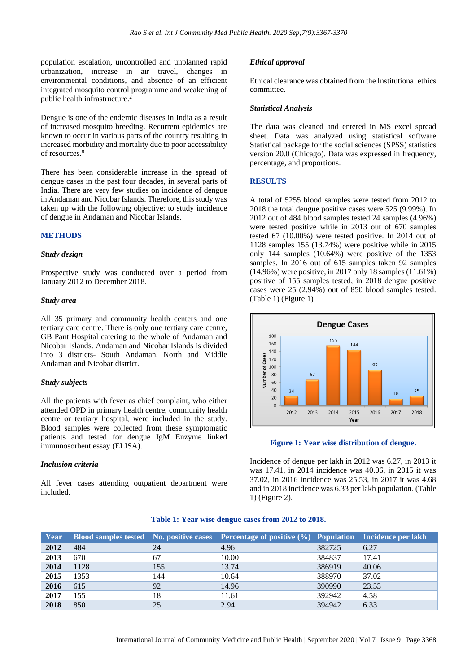population escalation, uncontrolled and unplanned rapid urbanization, increase in air travel, changes in environmental conditions, and absence of an efficient integrated mosquito control programme and weakening of public health infrastructure.<sup>2</sup>

Dengue is one of the endemic diseases in India as a result of increased mosquito breeding. Recurrent epidemics are known to occur in various parts of the country resulting in increased morbidity and mortality due to poor accessibility of resources.<sup>8</sup>

There has been considerable increase in the spread of dengue cases in the past four decades, in several parts of India. There are very few studies on incidence of dengue in Andaman and Nicobar Islands. Therefore, this study was taken up with the following objective: to study incidence of dengue in Andaman and Nicobar Islands.

#### **METHODS**

#### *Study design*

Prospective study was conducted over a period from January 2012 to December 2018.

## *Study area*

All 35 primary and community health centers and one tertiary care centre. There is only one tertiary care centre, GB Pant Hospital catering to the whole of Andaman and Nicobar Islands. Andaman and Nicobar Islands is divided into 3 districts- South Andaman, North and Middle Andaman and Nicobar district.

#### *Study subjects*

All the patients with fever as chief complaint, who either attended OPD in primary health centre, community health centre or tertiary hospital, were included in the study. Blood samples were collected from these symptomatic patients and tested for dengue IgM Enzyme linked immunosorbent essay (ELISA).

#### *Inclusion criteria*

All fever cases attending outpatient department were included.

#### *Ethical approval*

Ethical clearance was obtained from the Institutional ethics committee.

#### *Statistical Analysis*

The data was cleaned and entered in MS excel spread sheet. Data was analyzed using statistical software Statistical package for the social sciences (SPSS) statistics version 20.0 (Chicago). Data was expressed in frequency, percentage, and proportions.

#### **RESULTS**

A total of 5255 blood samples were tested from 2012 to 2018 the total dengue positive cases were 525 (9.99%). In 2012 out of 484 blood samples tested 24 samples (4.96%) were tested positive while in 2013 out of 670 samples tested 67 (10.00%) were tested positive. In 2014 out of 1128 samples 155 (13.74%) were positive while in 2015 only 144 samples (10.64%) were positive of the 1353 samples. In 2016 out of 615 samples taken 92 samples (14.96%) were positive, in 2017 only 18 samples (11.61%) positive of 155 samples tested, in 2018 dengue positive cases were 25 (2.94%) out of 850 blood samples tested. (Table 1) (Figure 1)



#### **Figure 1: Year wise distribution of dengue.**

Incidence of dengue per lakh in 2012 was 6.27, in 2013 it was 17.41, in 2014 incidence was 40.06, in 2015 it was 37.02, in 2016 incidence was 25.53, in 2017 it was 4.68 and in 2018 incidence was 6.33 per lakh population. (Table 1) (Figure 2).

## **Table 1: Year wise dengue cases from 2012 to 2018.**

| <b>Year</b> |      |     | Blood samples tested No. positive cases Percentage of positive (%) Population Incidence per lakh |        |       |
|-------------|------|-----|--------------------------------------------------------------------------------------------------|--------|-------|
| 2012        | 484  | 24  | 4.96                                                                                             | 382725 | 6.27  |
| 2013        | 670  | 67  | 10.00                                                                                            | 384837 | 17.41 |
| 2014        | 1128 | 155 | 13.74                                                                                            | 386919 | 40.06 |
| 2015        | 1353 | 144 | 10.64                                                                                            | 388970 | 37.02 |
| 2016        | 615  | 92  | 14.96                                                                                            | 390990 | 23.53 |
| 2017        | 155  | 18  | 11.61                                                                                            | 392942 | 4.58  |
| 2018        | 850  | 25  | 2.94                                                                                             | 394942 | 6.33  |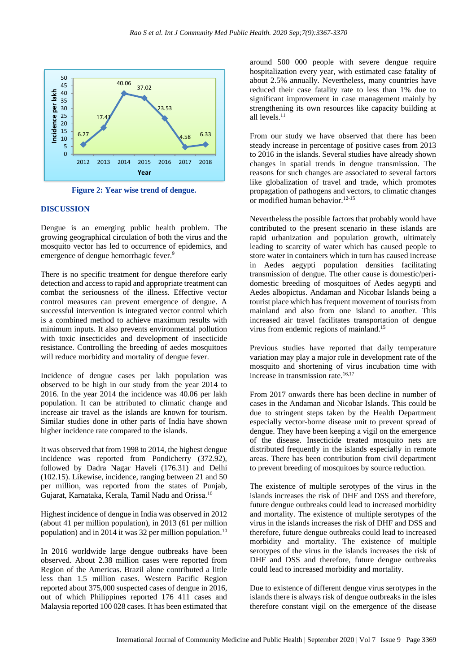

**Figure 2: Year wise trend of dengue.**

## **DISCUSSION**

Dengue is an emerging public health problem. The growing geographical circulation of both the virus and the mosquito vector has led to occurrence of epidemics, and emergence of dengue hemorrhagic fever.<sup>9</sup>

There is no specific treatment for dengue therefore early detection and access to rapid and appropriate treatment can combat the seriousness of the illness. Effective vector control measures can prevent emergence of dengue. A successful intervention is integrated vector control which is a combined method to achieve maximum results with minimum inputs. It also prevents environmental pollution with toxic insecticides and development of insecticide resistance. Controlling the breeding of aedes mosquitoes will reduce morbidity and mortality of dengue fever.

Incidence of dengue cases per lakh population was observed to be high in our study from the year 2014 to 2016. In the year 2014 the incidence was 40.06 per lakh population. It can be attributed to climatic change and increase air travel as the islands are known for tourism. Similar studies done in other parts of India have shown higher incidence rate compared to the islands.

It was observed that from 1998 to 2014, the highest dengue incidence was reported from Pondicherry (372.92), followed by Dadra Nagar Haveli (176.31) and Delhi (102.15). Likewise, incidence, ranging between 21 and 50 per million, was reported from the states of Punjab, Gujarat, Karnataka, Kerala, Tamil Nadu and Orissa.<sup>10</sup>

Highest incidence of dengue in India was observed in 2012 (about 41 per million population), in 2013 (61 per million population) and in 2014 it was 32 per million population.<sup>10</sup>

In 2016 worldwide large dengue outbreaks have been observed. About 2.38 million cases were reported from Region of the Americas. Brazil alone contributed a little less than 1.5 million cases. Western Pacific Region reported about 375,000 suspected cases of dengue in 2016, out of which Philippines reported 176 411 cases and Malaysia reported 100 028 cases. It has been estimated that

around 500 000 people with severe dengue require hospitalization every year, with estimated case fatality of about 2.5% annually. Nevertheless, many countries have reduced their case fatality rate to less than 1% due to significant improvement in case management mainly by strengthening its own resources like capacity building at all levels.<sup>11</sup>

From our study we have observed that there has been steady increase in percentage of positive cases from 2013 to 2016 in the islands. Several studies have already shown changes in spatial trends in dengue transmission. The reasons for such changes are associated to several factors like globalization of travel and trade, which promotes propagation of pathogens and vectors, to climatic changes or modified human behavior.<sup>12-15</sup>

Nevertheless the possible factors that probably would have contributed to the present scenario in these islands are rapid urbanization and population growth, ultimately leading to scarcity of water which has caused people to store water in containers which in turn has caused increase in Aedes aegypti population densities facilitating transmission of dengue. The other cause is domestic/peridomestic breeding of mosquitoes of Aedes aegypti and Aedes albopictus. Andaman and Nicobar Islands being a tourist place which has frequent movement of tourists from mainland and also from one island to another. This increased air travel facilitates transportation of dengue virus from endemic regions of mainland.<sup>15</sup>

Previous studies have reported that daily temperature variation may play a major role in development rate of the mosquito and shortening of virus incubation time with increase in transmission rate.<sup>16,17</sup>

From 2017 onwards there has been decline in number of cases in the Andaman and Nicobar Islands. This could be due to stringent steps taken by the Health Department especially vector-borne disease unit to prevent spread of dengue. They have been keeping a vigil on the emergence of the disease. Insecticide treated mosquito nets are distributed frequently in the islands especially in remote areas. There has been contribution from civil department to prevent breeding of mosquitoes by source reduction.

The existence of multiple serotypes of the virus in the islands increases the risk of DHF and DSS and therefore, future dengue outbreaks could lead to increased morbidity and mortality. The existence of multiple serotypes of the virus in the islands increases the risk of DHF and DSS and therefore, future dengue outbreaks could lead to increased morbidity and mortality. The existence of multiple serotypes of the virus in the islands increases the risk of DHF and DSS and therefore, future dengue outbreaks could lead to increased morbidity and mortality.

Due to existence of different dengue virus serotypes in the islands there is always risk of dengue outbreaks in the isles therefore constant vigil on the emergence of the disease